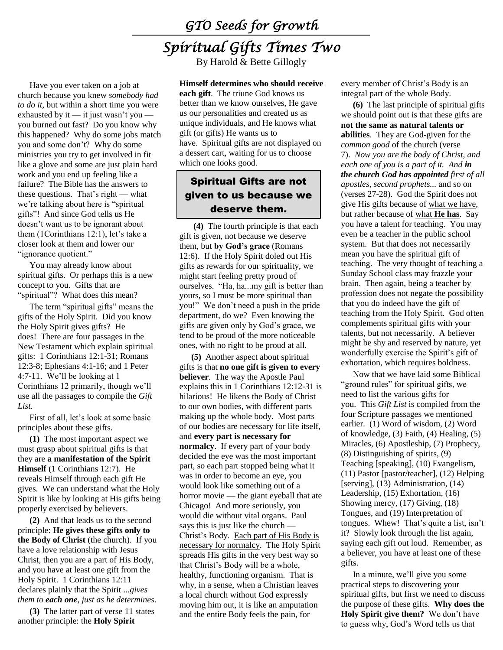## *GTO Seeds for Growth Spiritual Gifts Times Two*

By Harold & Bette Gillogly

Have you ever taken on a job at church because you knew *somebody had to do it*, but within a short time you were exhausted by it — it just wasn't you you burned out fast? Do you know why this happened? Why do some jobs match you and some don't? Why do some ministries you try to get involved in fit like a glove and some are just plain hard work and you end up feeling like a failure? The Bible has the answers to these questions. That's right — what we're talking about here is "spiritual gifts"! And since God tells us He doesn't want us to be ignorant about them (1Corinthians 12:1), let's take a closer look at them and lower our "ignorance quotient."

You may already know about spiritual gifts. Or perhaps this is a new concept to you. Gifts that are "spiritual"? What does this mean?

The term "spiritual gifts" means the gifts of the Holy Spirit. Did you know the Holy Spirit gives gifts? He does! There are four passages in the New Testament which explain spiritual gifts: 1 Corinthians 12:1-31; Romans 12:3-8; Ephesians 4:1-16; and 1 Peter 4:7-11. We'll be looking at 1 Corinthians 12 primarily, though we'll use all the passages to compile the *Gift List*.

First of all, let's look at some basic principles about these gifts.

**(1)** The most important aspect we must grasp about spiritual gifts is that they are **a manifestation of the Spirit Himself** (1 Corinthians 12:7). He reveals Himself through each gift He gives. We can understand what the Holy Spirit is like by looking at His gifts being properly exercised by believers.

**(2)** And that leads us to the second principle: **He gives these gifts only to the Body of Christ** (the church). If you have a love relationship with Jesus Christ, then you are a part of His Body, and you have at least one gift from the Holy Spirit. 1 Corinthians 12:11 declares plainly that the Spirit ...*gives them to each one, just as he determines*.

**(3)** The latter part of verse 11 states another principle: the **Holy Spirit** 

**Himself determines who should receive each gift**. The triune God knows us better than we know ourselves, He gave us our personalities and created us as unique individuals, and He knows what gift (or gifts) He wants us to have. Spiritual gifts are not displayed on a dessert cart, waiting for us to choose which one looks good.

## Spiritual Gifts are not given to us because we deserve them.

**(4)** The fourth principle is that each gift is given, not because we deserve them, but **by God's grace** (Romans 12:6). If the Holy Spirit doled out His gifts as rewards for our spirituality, we might start feeling pretty proud of ourselves. "Ha, ha...my gift is better than yours, so I must be more spiritual than you!" We don't need a push in the pride department, do we? Even knowing the gifts are given only by God's grace, we tend to be proud of the more noticeable ones, with no right to be proud at all.

**(5)** Another aspect about spiritual gifts is that **no one gift is given to every believer**. The way the Apostle Paul explains this in 1 Corinthians 12:12-31 is hilarious! He likens the Body of Christ to our own bodies, with different parts making up the whole body. Most parts of our bodies are necessary for life itself, and **every part is necessary for normalcy**. If every part of your body decided the eye was the most important part, so each part stopped being what it was in order to become an eye, you would look like something out of a horror movie — the giant eyeball that ate Chicago! And more seriously, you would die without vital organs. Paul says this is just like the church — Christ's Body. Each part of His Body is necessary for normalcy. The Holy Spirit spreads His gifts in the very best way so that Christ's Body will be a whole, healthy, functioning organism. That is why, in a sense, when a Christian leaves a local church without God expressly moving him out, it is like an amputation and the entire Body feels the pain, for

every member of Christ's Body is an integral part of the whole Body.

**(6)** The last principle of spiritual gifts we should point out is that these gifts are **not the same as natural talents or abilities**. They are God-given for the *common good* of the church (verse 7). *Now you are the body of Christ, and each one of you is a part of it. And in the church God has appointed first of all apostles, second prophets...* and so on (verses 27-28). God the Spirit does not give His gifts because of what we have, but rather because of what **He has**. Say you have a talent for teaching. You may even be a teacher in the public school system. But that does not necessarily mean you have the spiritual gift of teaching. The very thought of teaching a Sunday School class may frazzle your brain. Then again, being a teacher by profession does not negate the possibility that you do indeed have the gift of teaching from the Holy Spirit. God often complements spiritual gifts with your talents, but not necessarily. A believer might be shy and reserved by nature, yet wonderfully exercise the Spirit's gift of exhortation, which requires boldness.

Now that we have laid some Biblical "ground rules" for spiritual gifts, we need to list the various gifts for you. This *Gift List* is compiled from the four Scripture passages we mentioned earlier. (1) Word of wisdom, (2) Word of knowledge, (3) Faith, (4) Healing, (5) Miracles, (6) Apostleship, (7) Prophecy, (8) Distinguishing of spirits, (9) Teaching [speaking], (10) Evangelism, (11) Pastor [pastor/teacher], (12) Helping [serving], (13) Administration, (14) Leadership, (15) Exhortation, (16) Showing mercy, (17) Giving, (18) Tongues, and (19) Interpretation of tongues. Whew! That's quite a list, isn't it? Slowly look through the list again, saying each gift out loud. Remember, as a believer, you have at least one of these gifts.

In a minute, we'll give you some practical steps to discovering your spiritual gifts, but first we need to discuss the purpose of these gifts. **Why does the Holy Spirit give them?** We don't have to guess why, God's Word tells us that